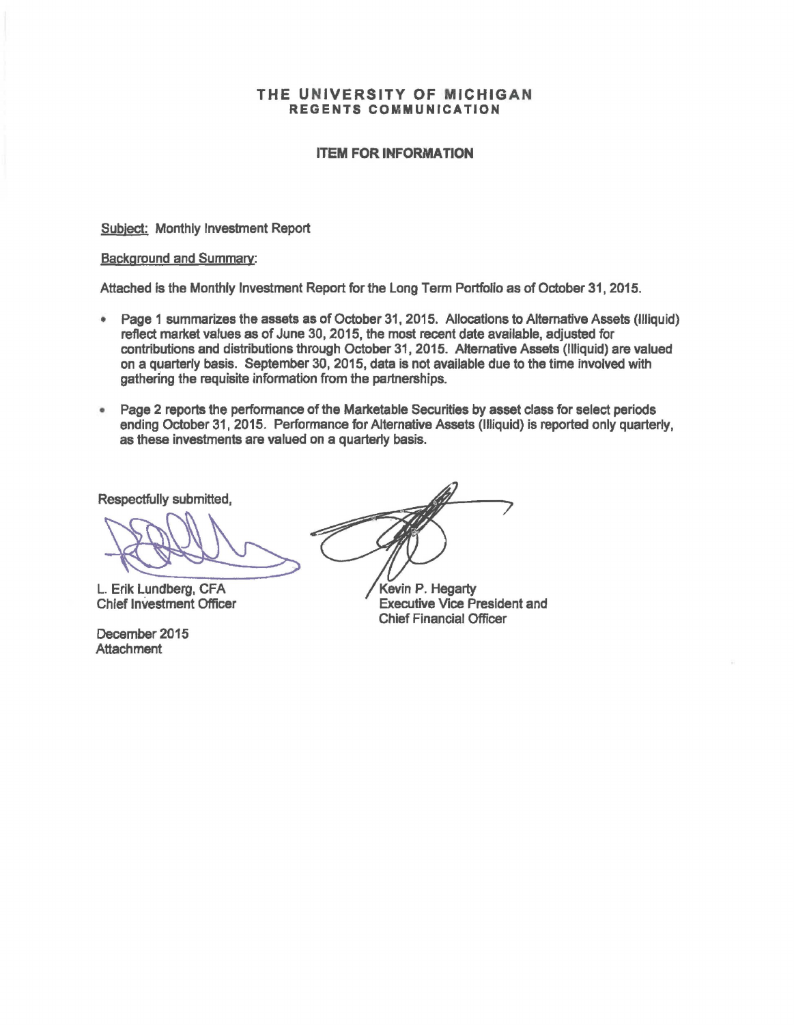#### THE UNIVERSITY OF MICHIGAN REGENTS COMMUNICATION

### ITEM FOR INFORMATION

Subject: Monthly Investment Report

#### Background and Summary:

Attached is the Monthly Investment Report for the Long Term Portfolio as of October 31, 2015.

- Page 1 summarizes the assets as of October 31, 2015. Allocations to Alternative Assets (Illiquid) reflect market values as of June 30, 2015, the most recent date available, adjusted for contributions and distributions through October 31, 2015. Alternative Assets (Illiquid) are valued on a quarterly basis. September 30, 2015, data is not available due to the time involved with gathering the requisite information from the partnerships.
- Page 2 reports the performance of the Marketable Securities by asset class for select periods ending October 31, 2015. Performance for Alternative Assets (Illiquid) is reported only quarterly, as these investments are valued on a quarterly basis.

Respectfully submitted,

L. Erik Lundberg, CFA Chief Investment Officer

December 2015 **Attachment** 

Kevin P. Hegarty Executive Vice President and Chief Financial Officer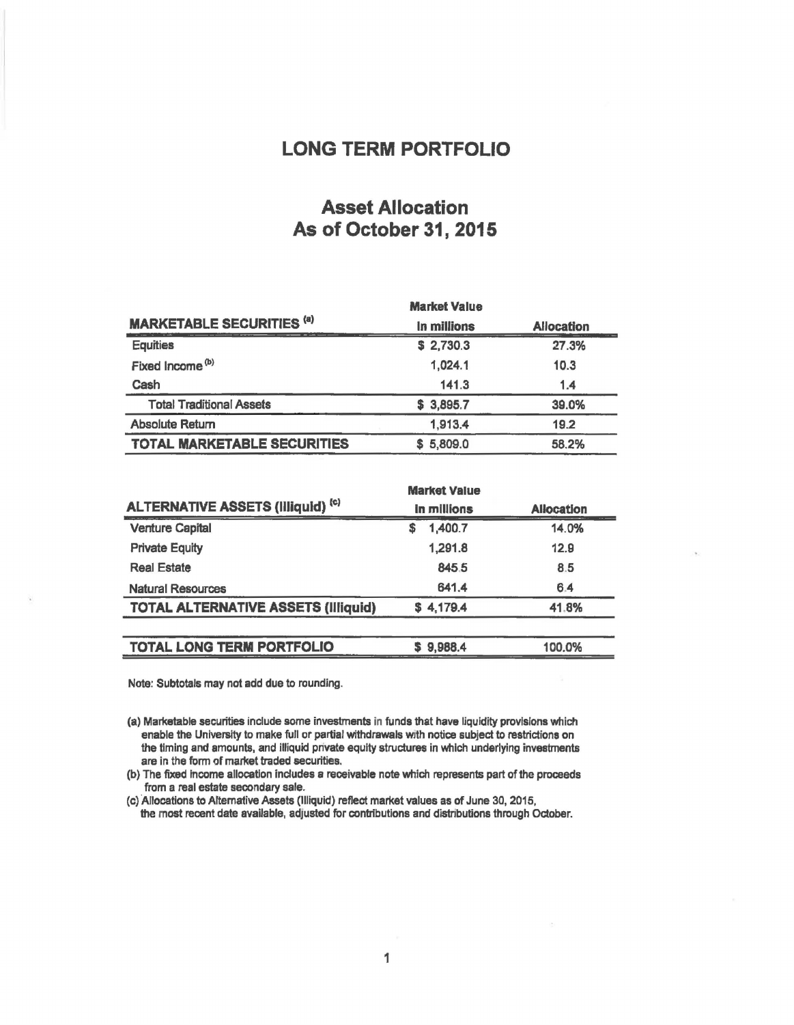## LONG TERM PORTFOLIO

## Asset Allocation As of October 31, 2015

|                                    | <b>Market Value</b> | <b>Allocation</b> |  |
|------------------------------------|---------------------|-------------------|--|
| <b>MARKETABLE SECURITIES (a)</b>   | In millions         |                   |  |
| <b>Equities</b>                    | \$2,730.3           | 27.3%             |  |
| Fixed Income <sup>(b)</sup>        | 1,024.1             | 10.3              |  |
| Cash                               | 141.3               | 1.4               |  |
| <b>Total Traditional Assets</b>    | \$3,895.7           | 39.0%             |  |
| <b>Absolute Return</b>             | 1,913.4             | 19.2              |  |
| <b>TOTAL MARKETABLE SECURITIES</b> | 5,809.0<br>S.       | 58.2%             |  |

|                                            | <b>Market Value</b> | <b>Allocation</b> |  |
|--------------------------------------------|---------------------|-------------------|--|
| <b>ALTERNATIVE ASSETS (Illiquid) (c)</b>   | In millions         |                   |  |
| <b>Venture Capital</b>                     | 1,400.7<br>S        | 14.0%             |  |
| <b>Private Equity</b>                      | 1,291.8             | 12.9              |  |
| <b>Real Estate</b>                         | 845.5               | 8.5               |  |
| <b>Natural Resources</b>                   | 641.4               | 6.4               |  |
| <b>TOTAL ALTERNATIVE ASSETS (Illiquid)</b> | \$4,179.4           | 41.8%             |  |
|                                            |                     |                   |  |
| <b>TOTAL LONG TERM PORTFOLIO</b>           | 9,988.4<br>s        | 100.0%            |  |

Note: Subtotals may not add due to rounding.

(a) Marketable securities include some investments in funds that have liquidity provisions which enable the University to make full or partial withdrawals with notice subject to restrictions on the timing and amounts, and illiquid private equity structures in which underlying investments are in the form of market traded securities.

(b) The fixed income allocation includes a receivable note which represents part of the proceeds from a real estate secondary sale.

(c) Allocations to Alternative Assets (Illiquid) reflect market values as of June 30, 2015, the most recent date available, adjusted for contributions and distributions through October.